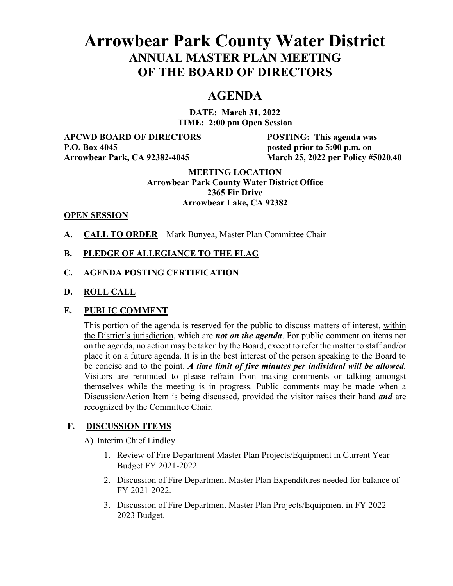# **Arrowbear Park County Water District ANNUAL MASTER PLAN MEETING OF THE BOARD OF DIRECTORS**

# **AGENDA**

**DATE: March 31, 2022 TIME: 2:00 pm Open Session**

**APCWD BOARD OF DIRECTORS POSTING: This agenda was P.O. Box 4045 posted prior to 5:00 p.m. on** 

**Arrowbear Park, CA 92382-4045 March 25, 2022 per Policy #5020.40**

#### **MEETING LOCATION Arrowbear Park County Water District Office 2365 Fir Drive Arrowbear Lake, CA 92382**

#### **OPEN SESSION**

**A. CALL TO ORDER** – Mark Bunyea, Master Plan Committee Chair

#### **B. PLEDGE OF ALLEGIANCE TO THE FLAG**

#### **C. AGENDA POSTING CERTIFICATION**

**D. ROLL CALL**

#### **E. PUBLIC COMMENT**

This portion of the agenda is reserved for the public to discuss matters of interest, within the District's jurisdiction, which are *not on the agenda*. For public comment on items not on the agenda, no action may be taken by the Board, except to refer the matter to staff and/or place it on a future agenda. It is in the best interest of the person speaking to the Board to be concise and to the point. *A time limit of five minutes per individual will be allowed.* Visitors are reminded to please refrain from making comments or talking amongst themselves while the meeting is in progress. Public comments may be made when a Discussion/Action Item is being discussed, provided the visitor raises their hand *and* are recognized by the Committee Chair.

#### **F. DISCUSSION ITEMS**

A) Interim Chief Lindley

- 1. Review of Fire Department Master Plan Projects/Equipment in Current Year Budget FY 2021-2022.
- 2. Discussion of Fire Department Master Plan Expenditures needed for balance of FY 2021-2022.
- 3. Discussion of Fire Department Master Plan Projects/Equipment in FY 2022- 2023 Budget.